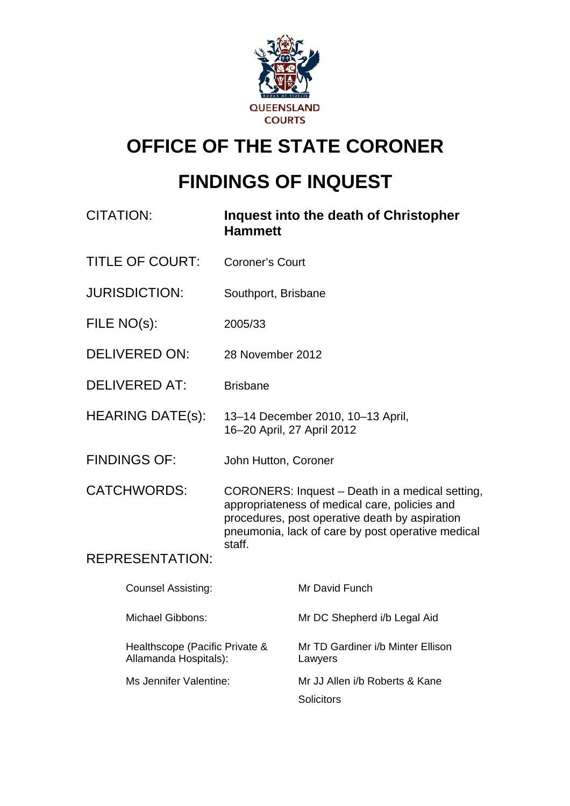

# **OFFICE OF THE STATE CORONER**

# **FINDINGS OF INQUEST**

| <b>CITATION:</b>        |                                                         | <b>Inquest into the death of Christopher</b><br><b>Hammett</b>                                                                                                                                                    |                                              |  |  |  |
|-------------------------|---------------------------------------------------------|-------------------------------------------------------------------------------------------------------------------------------------------------------------------------------------------------------------------|----------------------------------------------|--|--|--|
| <b>TITLE OF COURT:</b>  |                                                         | <b>Coroner's Court</b>                                                                                                                                                                                            |                                              |  |  |  |
| <b>JURISDICTION:</b>    |                                                         | Southport, Brisbane                                                                                                                                                                                               |                                              |  |  |  |
| FILE NO(s):             |                                                         | 2005/33                                                                                                                                                                                                           |                                              |  |  |  |
| <b>DELIVERED ON:</b>    |                                                         | 28 November 2012                                                                                                                                                                                                  |                                              |  |  |  |
| <b>DELIVERED AT:</b>    |                                                         | <b>Brisbane</b>                                                                                                                                                                                                   |                                              |  |  |  |
| <b>HEARING DATE(s):</b> |                                                         | 13-14 December 2010, 10-13 April,<br>16-20 April, 27 April 2012                                                                                                                                                   |                                              |  |  |  |
| <b>FINDINGS OF:</b>     |                                                         | John Hutton, Coroner                                                                                                                                                                                              |                                              |  |  |  |
|                         | <b>CATCHWORDS:</b>                                      | CORONERS: Inquest - Death in a medical setting,<br>appropriateness of medical care, policies and<br>procedures, post operative death by aspiration<br>pneumonia, lack of care by post operative medical<br>staff. |                                              |  |  |  |
|                         | <b>REPRESENTATION:</b>                                  |                                                                                                                                                                                                                   |                                              |  |  |  |
|                         | <b>Counsel Assisting:</b>                               |                                                                                                                                                                                                                   | Mr David Funch                               |  |  |  |
|                         | <b>Michael Gibbons:</b>                                 |                                                                                                                                                                                                                   | Mr DC Shepherd i/b Legal Aid                 |  |  |  |
|                         | Healthscope (Pacific Private &<br>Allamanda Hospitals): |                                                                                                                                                                                                                   | Mr TD Gardiner i/b Minter Ellison<br>Lawyers |  |  |  |
| Ms Jennifer Valentine:  |                                                         |                                                                                                                                                                                                                   | Mr JJ Allen i/b Roberts & Kane<br>Solicitors |  |  |  |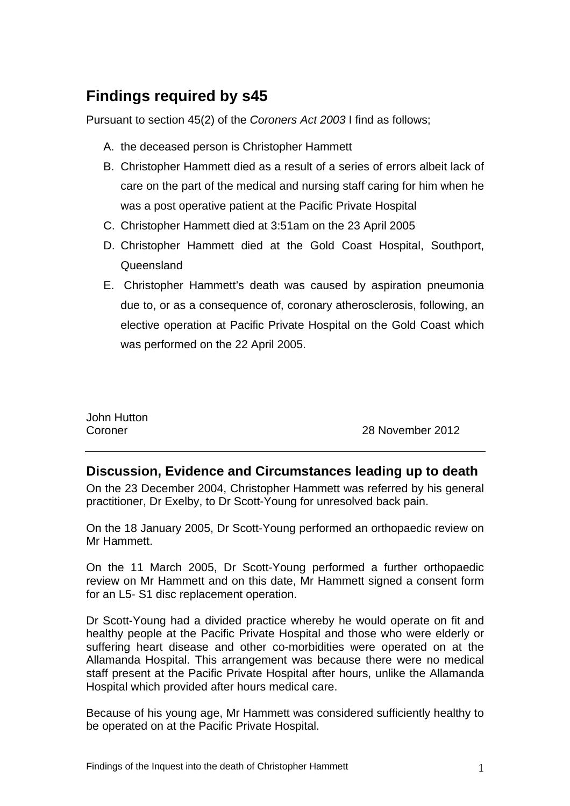# **Findings required by s45**

Pursuant to section 45(2) of the *Coroners Act 2003* I find as follows;

- A. the deceased person is Christopher Hammett
- B. Christopher Hammett died as a result of a series of errors albeit lack of care on the part of the medical and nursing staff caring for him when he was a post operative patient at the Pacific Private Hospital
- C. Christopher Hammett died at 3:51am on the 23 April 2005
- D. Christopher Hammett died at the Gold Coast Hospital, Southport, Queensland
- E. Christopher Hammett's death was caused by aspiration pneumonia due to, or as a consequence of, coronary atherosclerosis, following, an elective operation at Pacific Private Hospital on the Gold Coast which was performed on the 22 April 2005.

|         | John Hutton |  |  |  |  |  |
|---------|-------------|--|--|--|--|--|
| Coroner |             |  |  |  |  |  |

28 November 2012

## **Discussion, Evidence and Circumstances leading up to death**

On the 23 December 2004, Christopher Hammett was referred by his general practitioner, Dr Exelby, to Dr Scott-Young for unresolved back pain.

On the 18 January 2005, Dr Scott-Young performed an orthopaedic review on Mr Hammett.

On the 11 March 2005, Dr Scott-Young performed a further orthopaedic review on Mr Hammett and on this date, Mr Hammett signed a consent form for an L5- S1 disc replacement operation.

Dr Scott-Young had a divided practice whereby he would operate on fit and healthy people at the Pacific Private Hospital and those who were elderly or suffering heart disease and other co-morbidities were operated on at the Allamanda Hospital. This arrangement was because there were no medical staff present at the Pacific Private Hospital after hours, unlike the Allamanda Hospital which provided after hours medical care.

Because of his young age, Mr Hammett was considered sufficiently healthy to be operated on at the Pacific Private Hospital.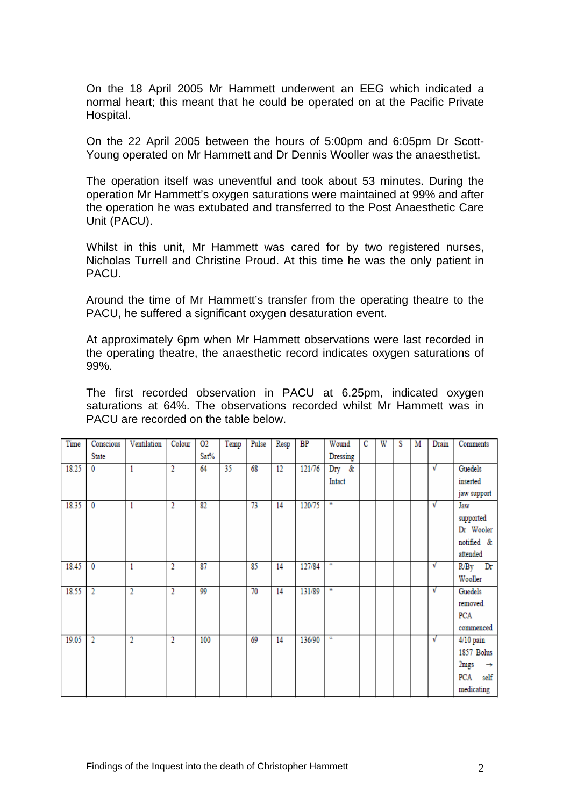On the 18 April 2005 Mr Hammett underwent an EEG which indicated a normal heart; this meant that he could be operated on at the Pacific Private Hospital.

On the 22 April 2005 between the hours of 5:00pm and 6:05pm Dr Scott-Young operated on Mr Hammett and Dr Dennis Wooller was the anaesthetist.

The operation itself was uneventful and took about 53 minutes. During the operation Mr Hammett's oxygen saturations were maintained at 99% and after the operation he was extubated and transferred to the Post Anaesthetic Care Unit (PACU).

Whilst in this unit, Mr Hammett was cared for by two registered nurses, Nicholas Turrell and Christine Proud. At this time he was the only patient in PACU.

Around the time of Mr Hammett's transfer from the operating theatre to the PACU, he suffered a significant oxygen desaturation event.

At approximately 6pm when Mr Hammett observations were last recorded in the operating theatre, the anaesthetic record indicates oxygen saturations of 99%.

The first recorded observation in PACU at 6.25pm, indicated oxygen saturations at 64%. The observations recorded whilst Mr Hammett was in PACU are recorded on the table below.

| Time  | Conscious      | Ventilation | Colour         | 02   | Temp | Pulse | Resp | BP     | Wound          | C | W | S | M | Drain      | Comments              |
|-------|----------------|-------------|----------------|------|------|-------|------|--------|----------------|---|---|---|---|------------|-----------------------|
|       | <b>State</b>   |             |                | Sat% |      |       |      |        | Dressing       |   |   |   |   |            |                       |
| 18.25 | $\mathbf 0$    | 1           | 2              | 64   | 35   | 68    | 12   | 121/76 | $_{\rm Dry}$ & |   |   |   |   | $\sqrt{ }$ | Guedels               |
|       |                |             |                |      |      |       |      |        | Intact         |   |   |   |   |            | inserted              |
|       |                |             |                |      |      |       |      |        |                |   |   |   |   |            | jaw support           |
| 18.35 | $\bf{0}$       | 1           | 2              | 82   |      | 73    | 14   | 120/75 | CC.            |   |   |   |   | $\sqrt{ }$ | Jaw                   |
|       |                |             |                |      |      |       |      |        |                |   |   |   |   |            | supported             |
|       |                |             |                |      |      |       |      |        |                |   |   |   |   |            | Dr Wooler             |
|       |                |             |                |      |      |       |      |        |                |   |   |   |   |            | notified &            |
|       |                |             |                |      |      |       |      |        |                |   |   |   |   |            | attended              |
| 18.45 | $\mathbf 0$    | 1           | $\overline{2}$ | 87   |      | 85    | 14   | 127/84 | CC.            |   |   |   |   | V          | $R/By$ Dr             |
|       |                |             |                |      |      |       |      |        |                |   |   |   |   |            | Wooller               |
| 18.55 | $\overline{2}$ | 2           | 2              | 99   |      | 70    | 14   | 131/89 | CC.            |   |   |   |   | V          | Guedels               |
|       |                |             |                |      |      |       |      |        |                |   |   |   |   |            | removed.              |
|       |                |             |                |      |      |       |      |        |                |   |   |   |   |            | PCA                   |
|       |                |             |                |      |      |       |      |        |                |   |   |   |   |            | commenced             |
| 19.05 | $\overline{2}$ | 2           | 2              | 100  |      | 69    | 14   | 136/90 | CC.            |   |   |   |   | $\sqrt{ }$ | $4/10$ pain           |
|       |                |             |                |      |      |       |      |        |                |   |   |   |   |            | 1857 Bolus            |
|       |                |             |                |      |      |       |      |        |                |   |   |   |   |            | 2mgs<br>$\rightarrow$ |
|       |                |             |                |      |      |       |      |        |                |   |   |   |   |            | PCA<br>self           |
|       |                |             |                |      |      |       |      |        |                |   |   |   |   |            | medicating            |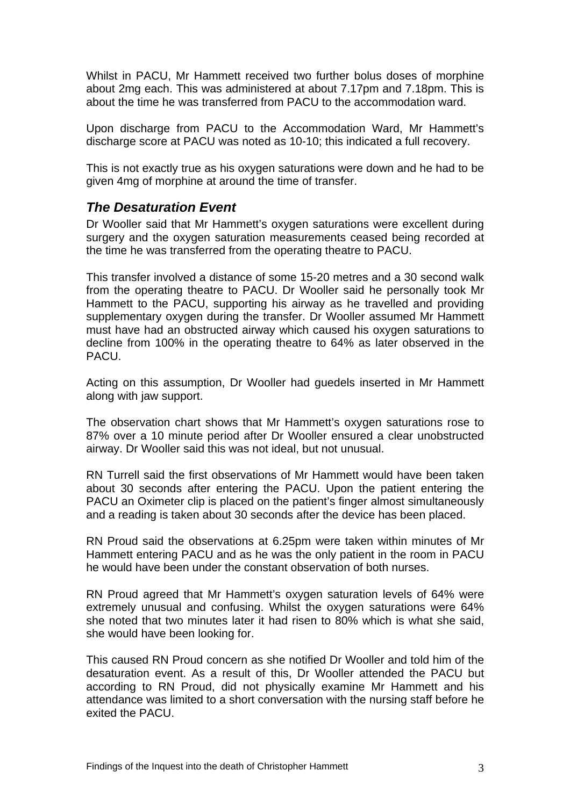Whilst in PACU, Mr Hammett received two further bolus doses of morphine about 2mg each. This was administered at about 7.17pm and 7.18pm. This is about the time he was transferred from PACU to the accommodation ward.

Upon discharge from PACU to the Accommodation Ward, Mr Hammett's discharge score at PACU was noted as 10-10; this indicated a full recovery.

This is not exactly true as his oxygen saturations were down and he had to be given 4mg of morphine at around the time of transfer.

# *The Desaturation Event*

Dr Wooller said that Mr Hammett's oxygen saturations were excellent during surgery and the oxygen saturation measurements ceased being recorded at the time he was transferred from the operating theatre to PACU.

This transfer involved a distance of some 15-20 metres and a 30 second walk from the operating theatre to PACU. Dr Wooller said he personally took Mr Hammett to the PACU, supporting his airway as he travelled and providing supplementary oxygen during the transfer. Dr Wooller assumed Mr Hammett must have had an obstructed airway which caused his oxygen saturations to decline from 100% in the operating theatre to 64% as later observed in the PACU.

Acting on this assumption, Dr Wooller had guedels inserted in Mr Hammett along with jaw support.

The observation chart shows that Mr Hammett's oxygen saturations rose to 87% over a 10 minute period after Dr Wooller ensured a clear unobstructed airway. Dr Wooller said this was not ideal, but not unusual.

RN Turrell said the first observations of Mr Hammett would have been taken about 30 seconds after entering the PACU. Upon the patient entering the PACU an Oximeter clip is placed on the patient's finger almost simultaneously and a reading is taken about 30 seconds after the device has been placed.

RN Proud said the observations at 6.25pm were taken within minutes of Mr Hammett entering PACU and as he was the only patient in the room in PACU he would have been under the constant observation of both nurses.

RN Proud agreed that Mr Hammett's oxygen saturation levels of 64% were extremely unusual and confusing. Whilst the oxygen saturations were 64% she noted that two minutes later it had risen to 80% which is what she said, she would have been looking for.

This caused RN Proud concern as she notified Dr Wooller and told him of the desaturation event. As a result of this, Dr Wooller attended the PACU but according to RN Proud, did not physically examine Mr Hammett and his attendance was limited to a short conversation with the nursing staff before he exited the PACU.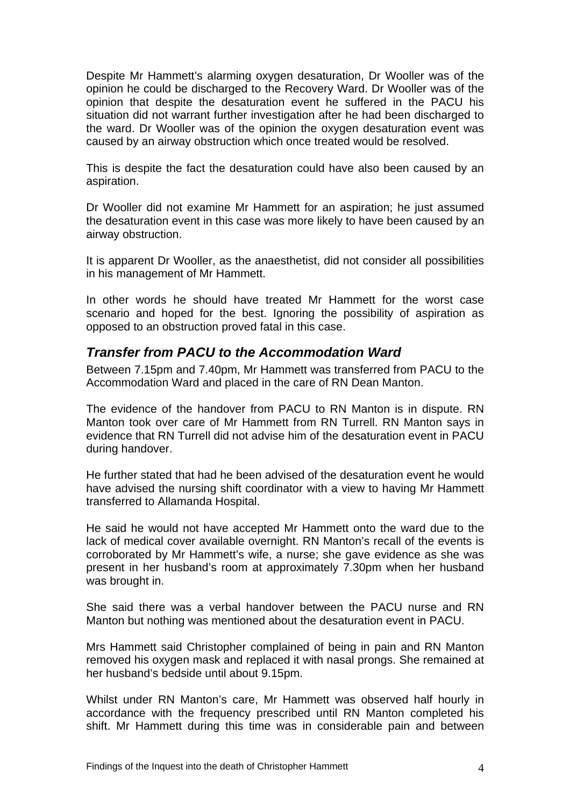Despite Mr Hammett's alarming oxygen desaturation, Dr Wooller was of the opinion he could be discharged to the Recovery Ward. Dr Wooller was of the opinion that despite the desaturation event he suffered in the PACU his situation did not warrant further investigation after he had been discharged to the ward. Dr Wooller was of the opinion the oxygen desaturation event was caused by an airway obstruction which once treated would be resolved.

This is despite the fact the desaturation could have also been caused by an aspiration.

Dr Wooller did not examine Mr Hammett for an aspiration; he just assumed the desaturation event in this case was more likely to have been caused by an airway obstruction.

It is apparent Dr Wooller, as the anaesthetist, did not consider all possibilities in his management of Mr Hammett.

In other words he should have treated Mr Hammett for the worst case scenario and hoped for the best. Ignoring the possibility of aspiration as opposed to an obstruction proved fatal in this case.

## *Transfer from PACU to the Accommodation Ward*

Between 7.15pm and 7.40pm, Mr Hammett was transferred from PACU to the Accommodation Ward and placed in the care of RN Dean Manton.

The evidence of the handover from PACU to RN Manton is in dispute. RN Manton took over care of Mr Hammett from RN Turrell. RN Manton says in evidence that RN Turrell did not advise him of the desaturation event in PACU during handover.

He further stated that had he been advised of the desaturation event he would have advised the nursing shift coordinator with a view to having Mr Hammett transferred to Allamanda Hospital.

He said he would not have accepted Mr Hammett onto the ward due to the lack of medical cover available overnight. RN Manton's recall of the events is corroborated by Mr Hammett's wife, a nurse; she gave evidence as she was present in her husband's room at approximately 7.30pm when her husband was brought in.

She said there was a verbal handover between the PACU nurse and RN Manton but nothing was mentioned about the desaturation event in PACU.

Mrs Hammett said Christopher complained of being in pain and RN Manton removed his oxygen mask and replaced it with nasal prongs. She remained at her husband's bedside until about 9.15pm.

Whilst under RN Manton's care, Mr Hammett was observed half hourly in accordance with the frequency prescribed until RN Manton completed his shift. Mr Hammett during this time was in considerable pain and between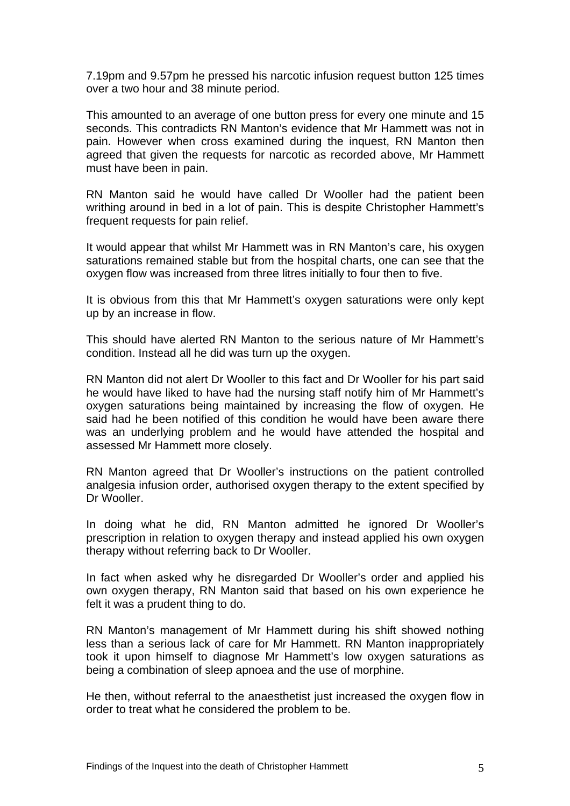7.19pm and 9.57pm he pressed his narcotic infusion request button 125 times over a two hour and 38 minute period.

This amounted to an average of one button press for every one minute and 15 seconds. This contradicts RN Manton's evidence that Mr Hammett was not in pain. However when cross examined during the inquest, RN Manton then agreed that given the requests for narcotic as recorded above, Mr Hammett must have been in pain.

RN Manton said he would have called Dr Wooller had the patient been writhing around in bed in a lot of pain. This is despite Christopher Hammett's frequent requests for pain relief.

It would appear that whilst Mr Hammett was in RN Manton's care, his oxygen saturations remained stable but from the hospital charts, one can see that the oxygen flow was increased from three litres initially to four then to five.

It is obvious from this that Mr Hammett's oxygen saturations were only kept up by an increase in flow.

This should have alerted RN Manton to the serious nature of Mr Hammett's condition. Instead all he did was turn up the oxygen.

RN Manton did not alert Dr Wooller to this fact and Dr Wooller for his part said he would have liked to have had the nursing staff notify him of Mr Hammett's oxygen saturations being maintained by increasing the flow of oxygen. He said had he been notified of this condition he would have been aware there was an underlying problem and he would have attended the hospital and assessed Mr Hammett more closely.

RN Manton agreed that Dr Wooller's instructions on the patient controlled analgesia infusion order, authorised oxygen therapy to the extent specified by Dr Wooller.

In doing what he did, RN Manton admitted he ignored Dr Wooller's prescription in relation to oxygen therapy and instead applied his own oxygen therapy without referring back to Dr Wooller.

In fact when asked why he disregarded Dr Wooller's order and applied his own oxygen therapy, RN Manton said that based on his own experience he felt it was a prudent thing to do.

RN Manton's management of Mr Hammett during his shift showed nothing less than a serious lack of care for Mr Hammett. RN Manton inappropriately took it upon himself to diagnose Mr Hammett's low oxygen saturations as being a combination of sleep apnoea and the use of morphine.

He then, without referral to the anaesthetist just increased the oxygen flow in order to treat what he considered the problem to be.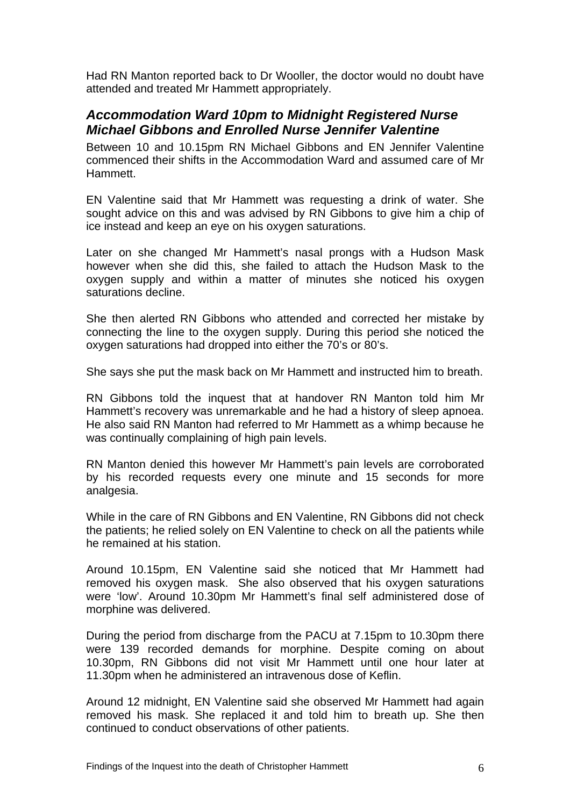Had RN Manton reported back to Dr Wooller, the doctor would no doubt have attended and treated Mr Hammett appropriately.

# *Accommodation Ward 10pm to Midnight Registered Nurse Michael Gibbons and Enrolled Nurse Jennifer Valentine*

Between 10 and 10.15pm RN Michael Gibbons and EN Jennifer Valentine commenced their shifts in the Accommodation Ward and assumed care of Mr Hammett.

EN Valentine said that Mr Hammett was requesting a drink of water. She sought advice on this and was advised by RN Gibbons to give him a chip of ice instead and keep an eye on his oxygen saturations.

Later on she changed Mr Hammett's nasal prongs with a Hudson Mask however when she did this, she failed to attach the Hudson Mask to the oxygen supply and within a matter of minutes she noticed his oxygen saturations decline.

She then alerted RN Gibbons who attended and corrected her mistake by connecting the line to the oxygen supply. During this period she noticed the oxygen saturations had dropped into either the 70's or 80's.

She says she put the mask back on Mr Hammett and instructed him to breath.

RN Gibbons told the inquest that at handover RN Manton told him Mr Hammett's recovery was unremarkable and he had a history of sleep apnoea. He also said RN Manton had referred to Mr Hammett as a whimp because he was continually complaining of high pain levels.

RN Manton denied this however Mr Hammett's pain levels are corroborated by his recorded requests every one minute and 15 seconds for more analgesia.

While in the care of RN Gibbons and EN Valentine, RN Gibbons did not check the patients; he relied solely on EN Valentine to check on all the patients while he remained at his station.

Around 10.15pm, EN Valentine said she noticed that Mr Hammett had removed his oxygen mask. She also observed that his oxygen saturations were 'low'. Around 10.30pm Mr Hammett's final self administered dose of morphine was delivered.

During the period from discharge from the PACU at 7.15pm to 10.30pm there were 139 recorded demands for morphine. Despite coming on about 10.30pm, RN Gibbons did not visit Mr Hammett until one hour later at 11.30pm when he administered an intravenous dose of Keflin.

Around 12 midnight, EN Valentine said she observed Mr Hammett had again removed his mask. She replaced it and told him to breath up. She then continued to conduct observations of other patients.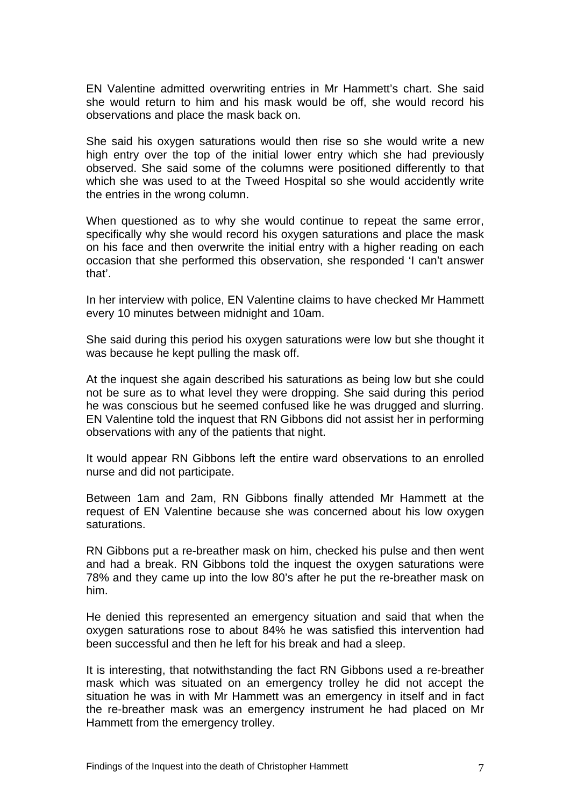EN Valentine admitted overwriting entries in Mr Hammett's chart. She said she would return to him and his mask would be off, she would record his observations and place the mask back on.

She said his oxygen saturations would then rise so she would write a new high entry over the top of the initial lower entry which she had previously observed. She said some of the columns were positioned differently to that which she was used to at the Tweed Hospital so she would accidently write the entries in the wrong column.

When questioned as to why she would continue to repeat the same error, specifically why she would record his oxygen saturations and place the mask on his face and then overwrite the initial entry with a higher reading on each occasion that she performed this observation, she responded 'I can't answer that'.

In her interview with police, EN Valentine claims to have checked Mr Hammett every 10 minutes between midnight and 10am.

She said during this period his oxygen saturations were low but she thought it was because he kept pulling the mask off.

At the inquest she again described his saturations as being low but she could not be sure as to what level they were dropping. She said during this period he was conscious but he seemed confused like he was drugged and slurring. EN Valentine told the inquest that RN Gibbons did not assist her in performing observations with any of the patients that night.

It would appear RN Gibbons left the entire ward observations to an enrolled nurse and did not participate.

Between 1am and 2am, RN Gibbons finally attended Mr Hammett at the request of EN Valentine because she was concerned about his low oxygen saturations.

RN Gibbons put a re-breather mask on him, checked his pulse and then went and had a break. RN Gibbons told the inquest the oxygen saturations were 78% and they came up into the low 80's after he put the re-breather mask on him.

He denied this represented an emergency situation and said that when the oxygen saturations rose to about 84% he was satisfied this intervention had been successful and then he left for his break and had a sleep.

It is interesting, that notwithstanding the fact RN Gibbons used a re-breather mask which was situated on an emergency trolley he did not accept the situation he was in with Mr Hammett was an emergency in itself and in fact the re-breather mask was an emergency instrument he had placed on Mr Hammett from the emergency trolley.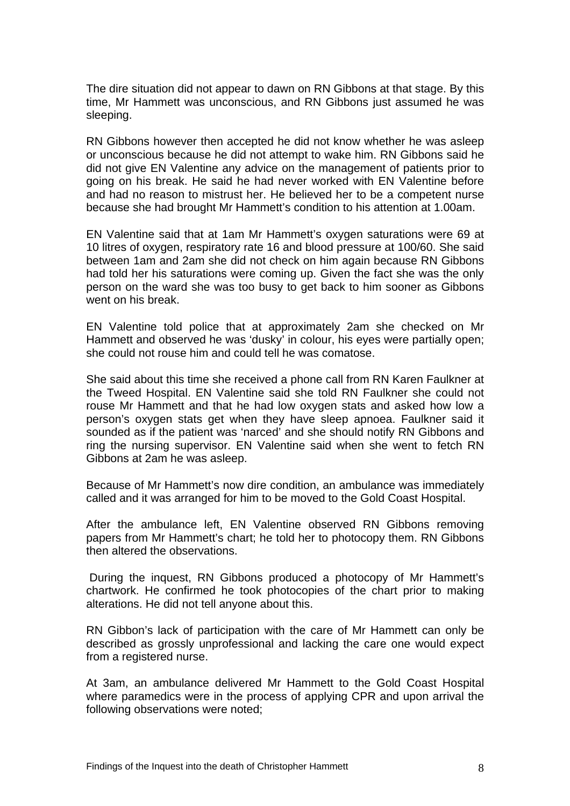The dire situation did not appear to dawn on RN Gibbons at that stage. By this time, Mr Hammett was unconscious, and RN Gibbons just assumed he was sleeping.

RN Gibbons however then accepted he did not know whether he was asleep or unconscious because he did not attempt to wake him. RN Gibbons said he did not give EN Valentine any advice on the management of patients prior to going on his break. He said he had never worked with EN Valentine before and had no reason to mistrust her. He believed her to be a competent nurse because she had brought Mr Hammett's condition to his attention at 1.00am.

EN Valentine said that at 1am Mr Hammett's oxygen saturations were 69 at 10 litres of oxygen, respiratory rate 16 and blood pressure at 100/60. She said between 1am and 2am she did not check on him again because RN Gibbons had told her his saturations were coming up. Given the fact she was the only person on the ward she was too busy to get back to him sooner as Gibbons went on his break.

EN Valentine told police that at approximately 2am she checked on Mr Hammett and observed he was 'dusky' in colour, his eyes were partially open; she could not rouse him and could tell he was comatose.

She said about this time she received a phone call from RN Karen Faulkner at the Tweed Hospital. EN Valentine said she told RN Faulkner she could not rouse Mr Hammett and that he had low oxygen stats and asked how low a person's oxygen stats get when they have sleep apnoea. Faulkner said it sounded as if the patient was 'narced' and she should notify RN Gibbons and ring the nursing supervisor. EN Valentine said when she went to fetch RN Gibbons at 2am he was asleep.

Because of Mr Hammett's now dire condition, an ambulance was immediately called and it was arranged for him to be moved to the Gold Coast Hospital.

After the ambulance left, EN Valentine observed RN Gibbons removing papers from Mr Hammett's chart; he told her to photocopy them. RN Gibbons then altered the observations.

 During the inquest, RN Gibbons produced a photocopy of Mr Hammett's chartwork. He confirmed he took photocopies of the chart prior to making alterations. He did not tell anyone about this.

RN Gibbon's lack of participation with the care of Mr Hammett can only be described as grossly unprofessional and lacking the care one would expect from a registered nurse.

At 3am, an ambulance delivered Mr Hammett to the Gold Coast Hospital where paramedics were in the process of applying CPR and upon arrival the following observations were noted;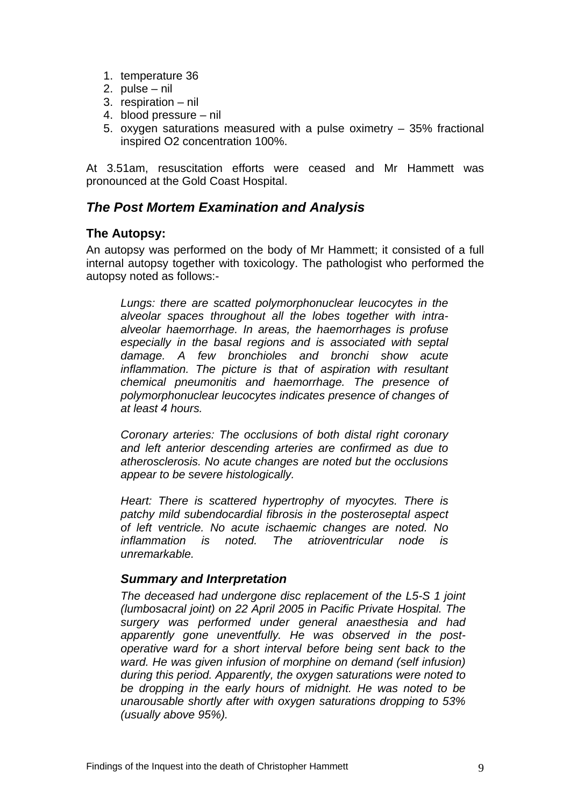- 1. temperature 36
- 2. pulse nil
- 3. respiration nil
- 4. blood pressure nil
- 5. oxygen saturations measured with a pulse oximetry 35% fractional inspired O2 concentration 100%.

At 3.51am, resuscitation efforts were ceased and Mr Hammett was pronounced at the Gold Coast Hospital.

# *The Post Mortem Examination and Analysis*

#### **The Autopsy:**

An autopsy was performed on the body of Mr Hammett; it consisted of a full internal autopsy together with toxicology. The pathologist who performed the autopsy noted as follows:-

*Lungs: there are scatted polymorphonuclear leucocytes in the alveolar spaces throughout all the lobes together with intraalveolar haemorrhage. In areas, the haemorrhages is profuse especially in the basal regions and is associated with septal damage. A few bronchioles and bronchi show acute inflammation. The picture is that of aspiration with resultant chemical pneumonitis and haemorrhage. The presence of polymorphonuclear leucocytes indicates presence of changes of at least 4 hours.* 

*Coronary arteries: The occlusions of both distal right coronary and left anterior descending arteries are confirmed as due to atherosclerosis. No acute changes are noted but the occlusions appear to be severe histologically.* 

*Heart: There is scattered hypertrophy of myocytes. There is patchy mild subendocardial fibrosis in the posteroseptal aspect of left ventricle. No acute ischaemic changes are noted. No inflammation is noted. The atrioventricular node is unremarkable.* 

#### *Summary and Interpretation*

*The deceased had undergone disc replacement of the L5-S 1 joint (lumbosacral joint) on 22 April 2005 in Pacific Private Hospital. The surgery was performed under general anaesthesia and had apparently gone uneventfully. He was observed in the postoperative ward for a short interval before being sent back to the ward. He was given infusion of morphine on demand (self infusion) during this period. Apparently, the oxygen saturations were noted to be dropping in the early hours of midnight. He was noted to be unarousable shortly after with oxygen saturations dropping to 53% (usually above 95%).*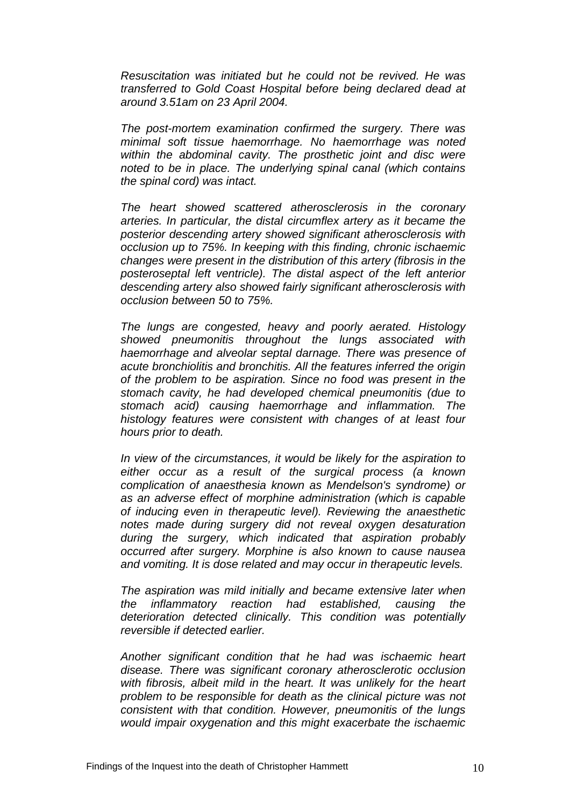*Resuscitation was initiated but he could not be revived. He was transferred to Gold Coast Hospital before being declared dead at around 3.51am on 23 April 2004.* 

*The post-mortem examination confirmed the surgery. There was minimal soft tissue haemorrhage. No haemorrhage was noted within the abdominal cavity. The prosthetic joint and disc were noted to be in place. The underlying spinal canal (which contains the spinal cord) was intact.* 

*The heart showed scattered atherosclerosis in the coronary arteries. In particular, the distal circumflex artery as it became the posterior descending artery showed significant atherosclerosis with occlusion up to 75%. In keeping with this finding, chronic ischaemic changes were present in the distribution of this artery (fibrosis in the posteroseptal left ventricle). The distal aspect of the left anterior descending artery also showed fairly significant atherosclerosis with occlusion between 50 to 75%.* 

*The lungs are congested, heavy and poorly aerated. Histology showed pneumonitis throughout the lungs associated with haemorrhage and alveolar septal darnage. There was presence of acute bronchiolitis and bronchitis. All the features inferred the origin of the problem to be aspiration. Since no food was present in the stomach cavity, he had developed chemical pneumonitis (due to stomach acid) causing haemorrhage and inflammation. The histology features were consistent with changes of at least four hours prior to death.* 

*In view of the circumstances, it would be likely for the aspiration to either occur as a result of the surgical process (a known complication of anaesthesia known as Mendelson's syndrome) or as an adverse effect of morphine administration (which is capable of inducing even in therapeutic level). Reviewing the anaesthetic notes made during surgery did not reveal oxygen desaturation during the surgery, which indicated that aspiration probably occurred after surgery. Morphine is also known to cause nausea and vomiting. It is dose related and may occur in therapeutic levels.* 

*The aspiration was mild initially and became extensive later when the inflammatory reaction had established, causing the deterioration detected clinically. This condition was potentially reversible if detected earlier.* 

*Another significant condition that he had was ischaemic heart disease. There was significant coronary atherosclerotic occlusion*  with fibrosis, albeit mild in the heart. It was unlikely for the heart *problem to be responsible for death as the clinical picture was not consistent with that condition. However, pneumonitis of the lungs would impair oxygenation and this might exacerbate the ischaemic*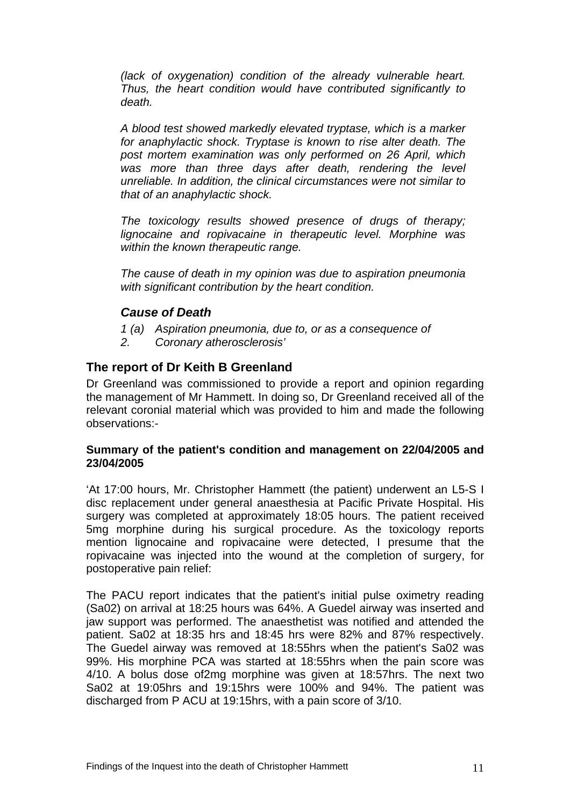*(lack of oxygenation) condition of the already vulnerable heart. Thus, the heart condition would have contributed significantly to death.* 

*A blood test showed markedly elevated tryptase, which is a marker for anaphylactic shock. Tryptase is known to rise alter death. The post mortem examination was only performed on 26 April, which*  was more than three days after death, rendering the level *unreliable. In addition, the clinical circumstances were not similar to that of an anaphylactic shock.* 

*The toxicology results showed presence of drugs of therapy; lignocaine and ropivacaine in therapeutic level. Morphine was within the known therapeutic range.* 

*The cause of death in my opinion was due to aspiration pneumonia with significant contribution by the heart condition.* 

# *Cause of Death*

- *1 (a) Aspiration pneumonia, due to, or as a consequence of*
- *2. Coronary atherosclerosis'*

#### **The report of Dr Keith B Greenland**

Dr Greenland was commissioned to provide a report and opinion regarding the management of Mr Hammett. In doing so, Dr Greenland received all of the relevant coronial material which was provided to him and made the following observations:-

#### **Summary of the patient's condition and management on 22/04/2005 and 23/04/2005**

'At 17:00 hours, Mr. Christopher Hammett (the patient) underwent an L5-S I disc replacement under general anaesthesia at Pacific Private Hospital. His surgery was completed at approximately 18:05 hours. The patient received 5mg morphine during his surgical procedure. As the toxicology reports mention lignocaine and ropivacaine were detected, I presume that the ropivacaine was injected into the wound at the completion of surgery, for postoperative pain relief:

The PACU report indicates that the patient's initial pulse oximetry reading (Sa02) on arrival at 18:25 hours was 64%. A Guedel airway was inserted and jaw support was performed. The anaesthetist was notified and attended the patient. Sa02 at 18:35 hrs and 18:45 hrs were 82% and 87% respectively. The Guedel airway was removed at 18:55hrs when the patient's Sa02 was 99%. His morphine PCA was started at 18:55hrs when the pain score was 4/10. A bolus dose of2mg morphine was given at 18:57hrs. The next two Sa02 at 19:05hrs and 19:15hrs were 100% and 94%. The patient was discharged from P ACU at 19:15hrs, with a pain score of 3/10.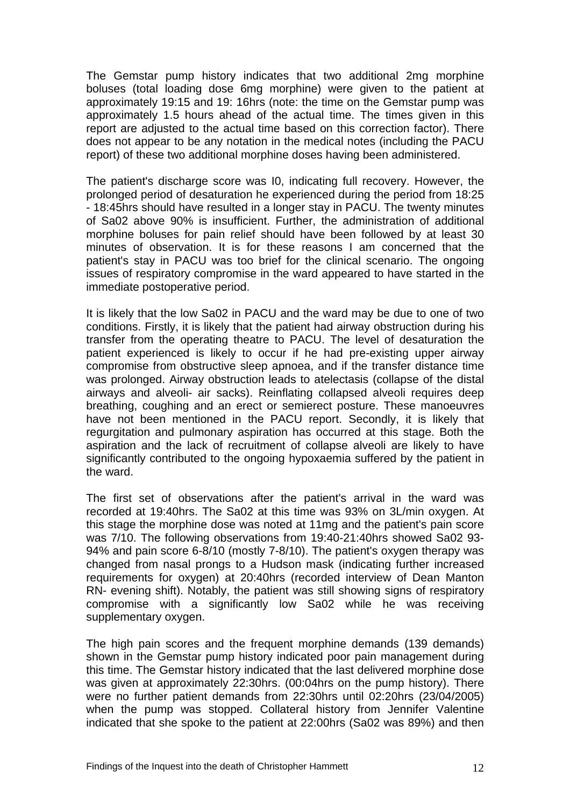The Gemstar pump history indicates that two additional 2mg morphine boluses (total loading dose 6mg morphine) were given to the patient at approximately 19:15 and 19: 16hrs (note: the time on the Gemstar pump was approximately 1.5 hours ahead of the actual time. The times given in this report are adjusted to the actual time based on this correction factor). There does not appear to be any notation in the medical notes (including the PACU report) of these two additional morphine doses having been administered.

The patient's discharge score was I0, indicating full recovery. However, the prolonged period of desaturation he experienced during the period from 18:25 - 18:45hrs should have resulted in a longer stay in PACU. The twenty minutes of Sa02 above 90% is insufficient. Further, the administration of additional morphine boluses for pain relief should have been followed by at least 30 minutes of observation. It is for these reasons I am concerned that the patient's stay in PACU was too brief for the clinical scenario. The ongoing issues of respiratory compromise in the ward appeared to have started in the immediate postoperative period.

It is likely that the low Sa02 in PACU and the ward may be due to one of two conditions. Firstly, it is likely that the patient had airway obstruction during his transfer from the operating theatre to PACU. The level of desaturation the patient experienced is likely to occur if he had pre-existing upper airway compromise from obstructive sleep apnoea, and if the transfer distance time was prolonged. Airway obstruction leads to atelectasis (collapse of the distal airways and alveoli- air sacks). Reinflating collapsed alveoli requires deep breathing, coughing and an erect or semierect posture. These manoeuvres have not been mentioned in the PACU report. Secondly, it is likely that regurgitation and pulmonary aspiration has occurred at this stage. Both the aspiration and the lack of recruitment of collapse alveoli are likely to have significantly contributed to the ongoing hypoxaemia suffered by the patient in the ward.

The first set of observations after the patient's arrival in the ward was recorded at 19:40hrs. The Sa02 at this time was 93% on 3L/min oxygen. At this stage the morphine dose was noted at 11mg and the patient's pain score was 7/10. The following observations from 19:40-21:40hrs showed Sa02 93- 94% and pain score 6-8/10 (mostly 7-8/10). The patient's oxygen therapy was changed from nasal prongs to a Hudson mask (indicating further increased requirements for oxygen) at 20:40hrs (recorded interview of Dean Manton RN- evening shift). Notably, the patient was still showing signs of respiratory compromise with a significantly low Sa02 while he was receiving supplementary oxygen.

The high pain scores and the frequent morphine demands (139 demands) shown in the Gemstar pump history indicated poor pain management during this time. The Gemstar history indicated that the last delivered morphine dose was given at approximately 22:30hrs. (00:04hrs on the pump history). There were no further patient demands from 22:30hrs until 02:20hrs (23/04/2005) when the pump was stopped. Collateral history from Jennifer Valentine indicated that she spoke to the patient at 22:00hrs (Sa02 was 89%) and then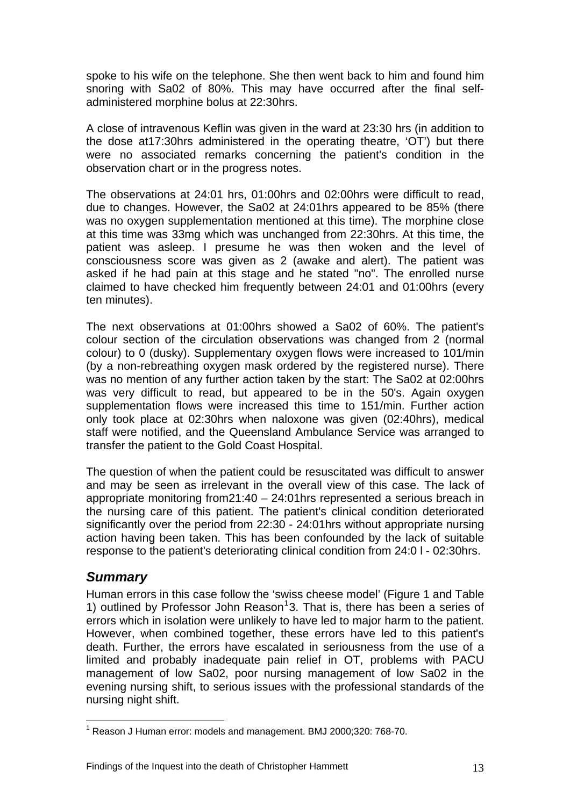spoke to his wife on the telephone. She then went back to him and found him snoring with Sa02 of 80%. This may have occurred after the final selfadministered morphine bolus at 22:30hrs.

A close of intravenous Keflin was given in the ward at 23:30 hrs (in addition to the dose at17:30hrs administered in the operating theatre, 'OT') but there were no associated remarks concerning the patient's condition in the observation chart or in the progress notes.

The observations at 24:01 hrs, 01:00hrs and 02:00hrs were difficult to read, due to changes. However, the Sa02 at 24:01hrs appeared to be 85% (there was no oxygen supplementation mentioned at this time). The morphine close at this time was 33mg which was unchanged from 22:30hrs. At this time, the patient was asleep. I presume he was then woken and the level of consciousness score was given as 2 (awake and alert). The patient was asked if he had pain at this stage and he stated "no". The enrolled nurse claimed to have checked him frequently between 24:01 and 01:00hrs (every ten minutes).

The next observations at 01:00hrs showed a Sa02 of 60%. The patient's colour section of the circulation observations was changed from 2 (normal colour) to 0 (dusky). Supplementary oxygen flows were increased to 101/min (by a non-rebreathing oxygen mask ordered by the registered nurse). There was no mention of any further action taken by the start: The Sa02 at 02:00hrs was very difficult to read, but appeared to be in the 50's. Again oxygen supplementation flows were increased this time to 151/min. Further action only took place at 02:30hrs when naloxone was given (02:40hrs), medical staff were notified, and the Queensland Ambulance Service was arranged to transfer the patient to the Gold Coast Hospital.

The question of when the patient could be resuscitated was difficult to answer and may be seen as irrelevant in the overall view of this case. The lack of appropriate monitoring from21:40 – 24:01hrs represented a serious breach in the nursing care of this patient. The patient's clinical condition deteriorated significantly over the period from 22:30 - 24:01hrs without appropriate nursing action having been taken. This has been confounded by the lack of suitable response to the patient's deteriorating clinical condition from 24:0 l - 02:30hrs.

# *Summary*

 $\overline{a}$ 

Human errors in this case follow the 'swiss cheese model' (Figure 1 and Table [1](#page-13-0)) outlined by Professor John Reason<sup>1</sup>3. That is, there has been a series of errors which in isolation were unlikely to have led to major harm to the patient. However, when combined together, these errors have led to this patient's death. Further, the errors have escalated in seriousness from the use of a limited and probably inadequate pain relief in OT, problems with PACU management of low Sa02, poor nursing management of low Sa02 in the evening nursing shift, to serious issues with the professional standards of the nursing night shift.

<span id="page-13-0"></span> $1$  Reason J Human error: models and management. BMJ 2000;320: 768-70.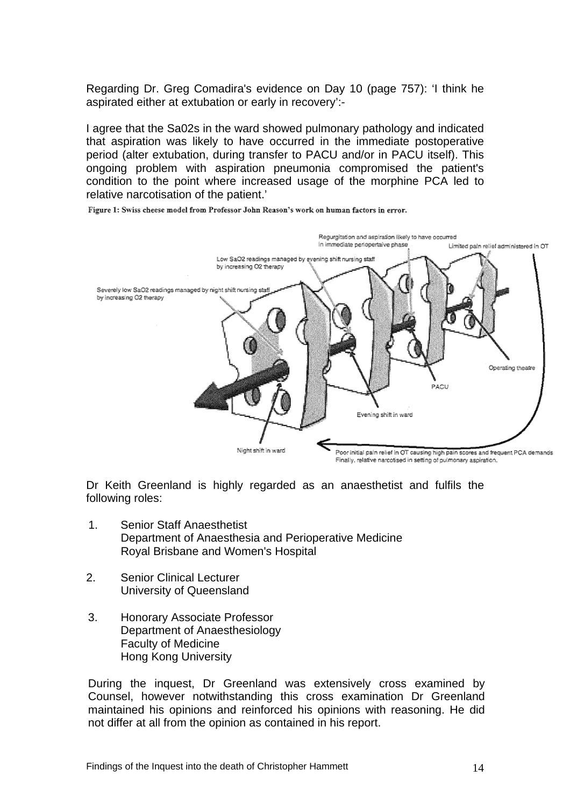Regarding Dr. Greg Comadira's evidence on Day 10 (page 757): 'I think he aspirated either at extubation or early in recovery':-

I agree that the Sa02s in the ward showed pulmonary pathology and indicated that aspiration was likely to have occurred in the immediate postoperative period (alter extubation, during transfer to PACU and/or in PACU itself). This ongoing problem with aspiration pneumonia compromised the patient's condition to the point where increased usage of the morphine PCA led to relative narcotisation of the patient.'

Figure 1: Swiss cheese model from Professor John Reason's work on human factors in error.



Dr Keith Greenland is highly regarded as an anaesthetist and fulfils the following roles:

- 1. Senior Staff Anaesthetist Department of Anaesthesia and Perioperative Medicine Royal Brisbane and Women's Hospital
- 2. Senior Clinical Lecturer University of Queensland
- 3. Honorary Associate Professor Department of Anaesthesiology Faculty of Medicine Hong Kong University

During the inquest, Dr Greenland was extensively cross examined by Counsel, however notwithstanding this cross examination Dr Greenland maintained his opinions and reinforced his opinions with reasoning. He did not differ at all from the opinion as contained in his report.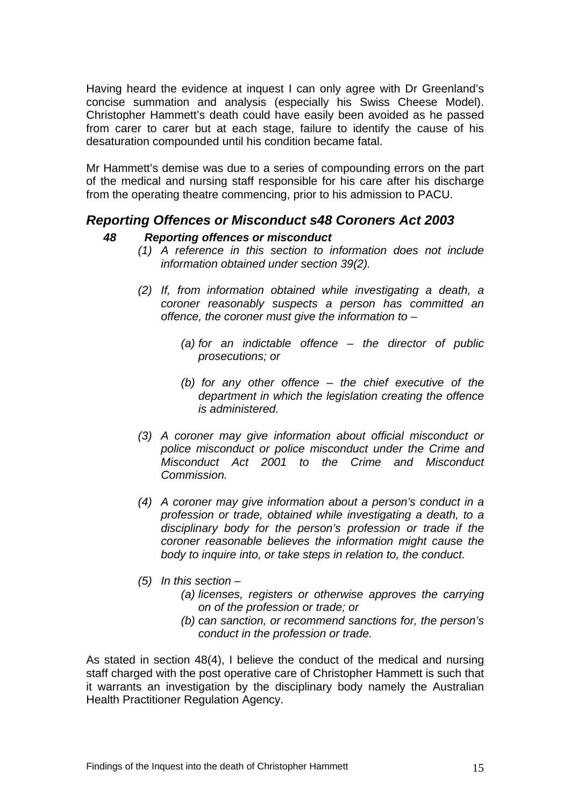Having heard the evidence at inquest I can only agree with Dr Greenland's concise summation and analysis (especially his Swiss Cheese Model). Christopher Hammett's death could have easily been avoided as he passed from carer to carer but at each stage, failure to identify the cause of his desaturation compounded until his condition became fatal.

Mr Hammett's demise was due to a series of compounding errors on the part of the medical and nursing staff responsible for his care after his discharge from the operating theatre commencing, prior to his admission to PACU.

# *Reporting Offences or Misconduct s48 Coroners Act 2003*

## *48 Reporting offences or misconduct*

- *(1) A reference in this section to information does not include information obtained under section 39(2).*
- *(2) If, from information obtained while investigating a death, a coroner reasonably suspects a person has committed an offence, the coroner must give the information to –* 
	- *(a) for an indictable offence the director of public prosecutions; or*
	- *(b) for any other offence the chief executive of the department in which the legislation creating the offence is administered.*
- *(3) A coroner may give information about official misconduct or police misconduct or police misconduct under the Crime and Misconduct Act 2001 to the Crime and Misconduct Commission.*
- *(4) A coroner may give information about a person's conduct in a profession or trade, obtained while investigating a death, to a disciplinary body for the person's profession or trade if the coroner reasonable believes the information might cause the body to inquire into, or take steps in relation to, the conduct.*
- *(5) In this section* 
	- *(a) licenses, registers or otherwise approves the carrying on of the profession or trade; or*
	- *(b) can sanction, or recommend sanctions for, the person's conduct in the profession or trade.*

As stated in section 48(4), I believe the conduct of the medical and nursing staff charged with the post operative care of Christopher Hammett is such that it warrants an investigation by the disciplinary body namely the Australian Health Practitioner Regulation Agency.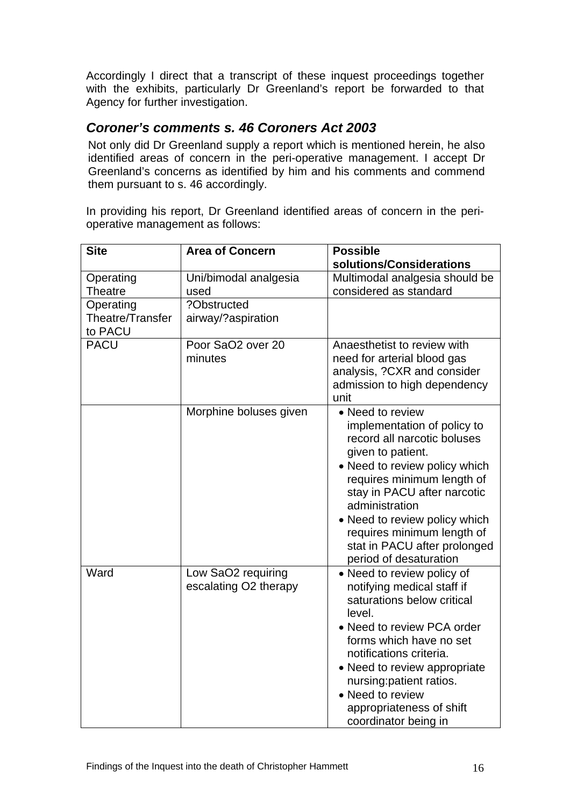Accordingly I direct that a transcript of these inquest proceedings together with the exhibits, particularly Dr Greenland's report be forwarded to that Agency for further investigation.

# *Coroner's comments s. 46 Coroners Act 2003*

Not only did Dr Greenland supply a report which is mentioned herein, he also identified areas of concern in the peri-operative management. I accept Dr Greenland's concerns as identified by him and his comments and commend them pursuant to s. 46 accordingly.

In providing his report, Dr Greenland identified areas of concern in the perioperative management as follows:

| <b>Site</b>                              | <b>Area of Concern</b>                      | <b>Possible</b><br>solutions/Considerations<br>Multimodal analgesia should be<br>considered as standard                                                                                                                                                                                                                                      |  |  |  |  |
|------------------------------------------|---------------------------------------------|----------------------------------------------------------------------------------------------------------------------------------------------------------------------------------------------------------------------------------------------------------------------------------------------------------------------------------------------|--|--|--|--|
|                                          |                                             |                                                                                                                                                                                                                                                                                                                                              |  |  |  |  |
| Operating<br><b>Theatre</b>              | Uni/bimodal analgesia<br>used               |                                                                                                                                                                                                                                                                                                                                              |  |  |  |  |
| Operating<br>Theatre/Transfer<br>to PACU | ?Obstructed<br>airway/?aspiration           |                                                                                                                                                                                                                                                                                                                                              |  |  |  |  |
| <b>PACU</b>                              | Poor SaO2 over 20<br>minutes                | Anaesthetist to review with<br>need for arterial blood gas<br>analysis, ?CXR and consider<br>admission to high dependency<br>unit                                                                                                                                                                                                            |  |  |  |  |
|                                          | Morphine boluses given                      | • Need to review<br>implementation of policy to<br>record all narcotic boluses<br>given to patient.<br>• Need to review policy which<br>requires minimum length of<br>stay in PACU after narcotic<br>administration<br>• Need to review policy which<br>requires minimum length of<br>stat in PACU after prolonged<br>period of desaturation |  |  |  |  |
| Ward                                     | Low SaO2 requiring<br>escalating O2 therapy | • Need to review policy of<br>notifying medical staff if<br>saturations below critical<br>level.<br>• Need to review PCA order<br>forms which have no set<br>notifications criteria.<br>• Need to review appropriate<br>nursing: patient ratios.<br>• Need to review<br>appropriateness of shift<br>coordinator being in                     |  |  |  |  |